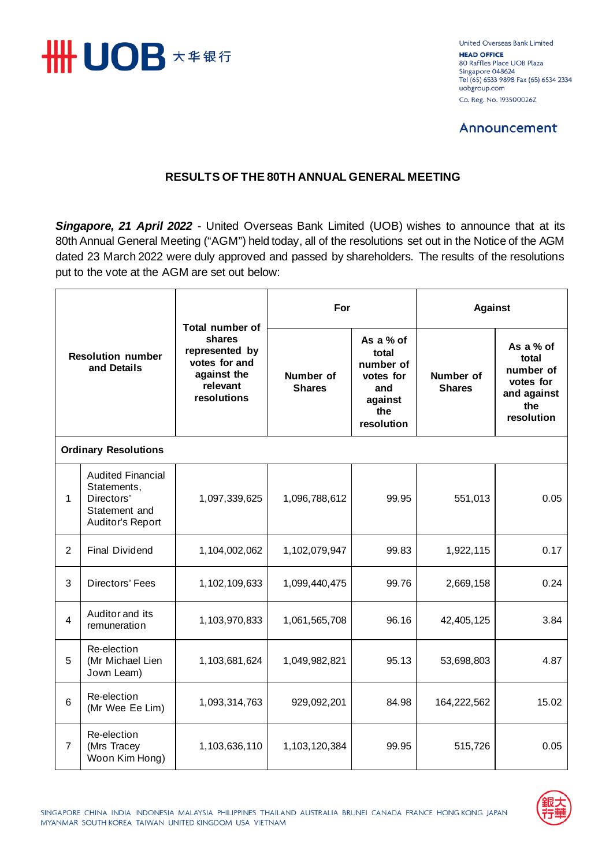

United Overseas Bank Limited **HEAD OFFICE** 80 Raffles Place UOB Plaza Singapore 048624 Tel (65) 6533 9898 Fax (65) 6534 2334 uobgroup.com Co. Reg. No. 193500026Z

# **Announcement**

## **RESULTS OF THE 80TH ANNUAL GENERAL MEETING**

*Singapore, 21 April 2022* - United Overseas Bank Limited (UOB) wishes to announce that at its 80th Annual General Meeting ("AGM") held today, all of the resolutions set out in the Notice of the AGM dated 23 March 2022 were duly approved and passed by shareholders. The results of the resolutions put to the vote at the AGM are set out below:

| <b>Resolution number</b><br>and Details |                                                                                            | Total number of<br>shares<br>represented by<br>votes for and<br>against the<br>relevant<br>resolutions | For                        |                                                                                     | <b>Against</b>             |                                                                                  |  |  |  |
|-----------------------------------------|--------------------------------------------------------------------------------------------|--------------------------------------------------------------------------------------------------------|----------------------------|-------------------------------------------------------------------------------------|----------------------------|----------------------------------------------------------------------------------|--|--|--|
|                                         |                                                                                            |                                                                                                        | Number of<br><b>Shares</b> | As a % of<br>total<br>number of<br>votes for<br>and<br>against<br>the<br>resolution | Number of<br><b>Shares</b> | As a % of<br>total<br>number of<br>votes for<br>and against<br>the<br>resolution |  |  |  |
| <b>Ordinary Resolutions</b>             |                                                                                            |                                                                                                        |                            |                                                                                     |                            |                                                                                  |  |  |  |
| $\mathbf{1}$                            | <b>Audited Financial</b><br>Statements,<br>Directors'<br>Statement and<br>Auditor's Report | 1,097,339,625                                                                                          | 1,096,788,612              | 99.95                                                                               | 551,013                    | 0.05                                                                             |  |  |  |
| $\overline{2}$                          | <b>Final Dividend</b>                                                                      | 1,104,002,062                                                                                          | 1,102,079,947              | 99.83                                                                               | 1,922,115                  | 0.17                                                                             |  |  |  |
| 3                                       | Directors' Fees                                                                            | 1,102,109,633                                                                                          | 1,099,440,475              | 99.76                                                                               | 2,669,158                  | 0.24                                                                             |  |  |  |
| 4                                       | Auditor and its<br>remuneration                                                            | 1,103,970,833                                                                                          | 1,061,565,708              | 96.16                                                                               | 42,405,125                 | 3.84                                                                             |  |  |  |
| 5                                       | Re-election<br>(Mr Michael Lien<br>Jown Leam)                                              | 1,103,681,624                                                                                          | 1,049,982,821              | 95.13                                                                               | 53,698,803                 | 4.87                                                                             |  |  |  |
| 6                                       | Re-election<br>(Mr Wee Ee Lim)                                                             | 1,093,314,763                                                                                          | 929,092,201                | 84.98                                                                               | 164,222,562                | 15.02                                                                            |  |  |  |
| $\overline{7}$                          | Re-election<br>(Mrs Tracey<br>Woon Kim Hong)                                               | 1,103,636,110                                                                                          | 1,103,120,384              | 99.95                                                                               | 515,726                    | 0.05                                                                             |  |  |  |

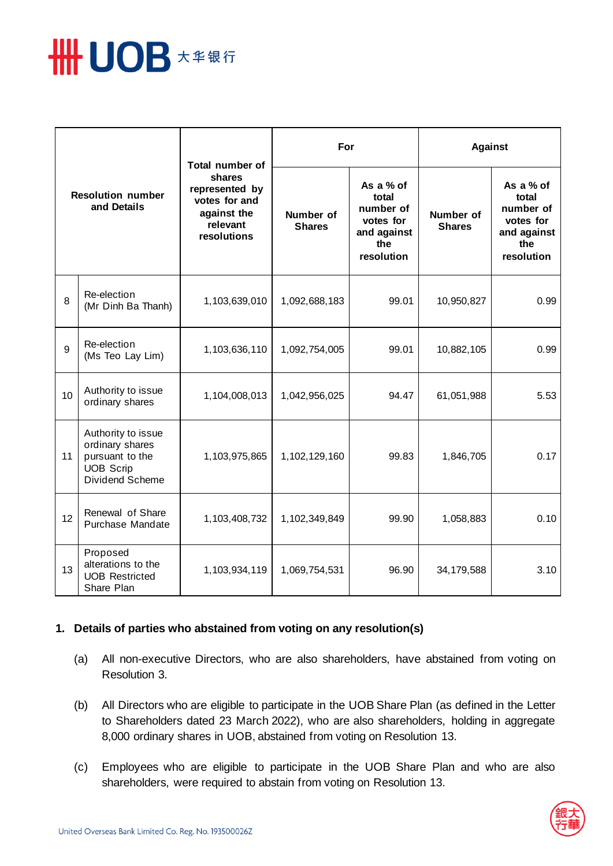

| <b>Resolution number</b><br>and Details |                                                                                                 | <b>Total number of</b><br>shares<br>represented by<br>votes for and<br>against the<br>relevant<br>resolutions | For                        |                                                                                  | <b>Against</b>             |                                                                                  |
|-----------------------------------------|-------------------------------------------------------------------------------------------------|---------------------------------------------------------------------------------------------------------------|----------------------------|----------------------------------------------------------------------------------|----------------------------|----------------------------------------------------------------------------------|
|                                         |                                                                                                 |                                                                                                               | Number of<br><b>Shares</b> | As a % of<br>total<br>number of<br>votes for<br>and against<br>the<br>resolution | Number of<br><b>Shares</b> | As a % of<br>total<br>number of<br>votes for<br>and against<br>the<br>resolution |
| 8                                       | Re-election<br>(Mr Dinh Ba Thanh)                                                               | 1,103,639,010                                                                                                 | 1,092,688,183              | 99.01                                                                            | 10,950,827                 | 0.99                                                                             |
| 9                                       | Re-election<br>(Ms Teo Lay Lim)                                                                 | 1,103,636,110                                                                                                 | 1,092,754,005              | 99.01                                                                            | 10,882,105                 | 0.99                                                                             |
| 10                                      | Authority to issue<br>ordinary shares                                                           | 1,104,008,013                                                                                                 | 1,042,956,025              | 94.47                                                                            | 61,051,988                 | 5.53                                                                             |
| 11                                      | Authority to issue<br>ordinary shares<br>pursuant to the<br><b>UOB Scrip</b><br>Dividend Scheme | 1,103,975,865                                                                                                 | 1,102,129,160              | 99.83                                                                            | 1,846,705                  | 0.17                                                                             |
| 12                                      | Renewal of Share<br>Purchase Mandate                                                            | 1,103,408,732                                                                                                 | 1,102,349,849              | 99.90                                                                            | 1,058,883                  | 0.10                                                                             |
| 13                                      | Proposed<br>alterations to the<br><b>UOB Restricted</b><br>Share Plan                           | 1,103,934,119                                                                                                 | 1,069,754,531              | 96.90                                                                            | 34,179,588                 | 3.10                                                                             |

#### **1. Details of parties who abstained from voting on any resolution(s)**

- (a) All non-executive Directors, who are also shareholders, have abstained from voting on Resolution 3.
- (b) All Directors who are eligible to participate in the UOB Share Plan (as defined in the Letter to Shareholders dated 23 March 2022), who are also shareholders, holding in aggregate 8,000 ordinary shares in UOB, abstained from voting on Resolution 13.
- (c) Employees who are eligible to participate in the UOB Share Plan and who are also shareholders, were required to abstain from voting on Resolution 13.